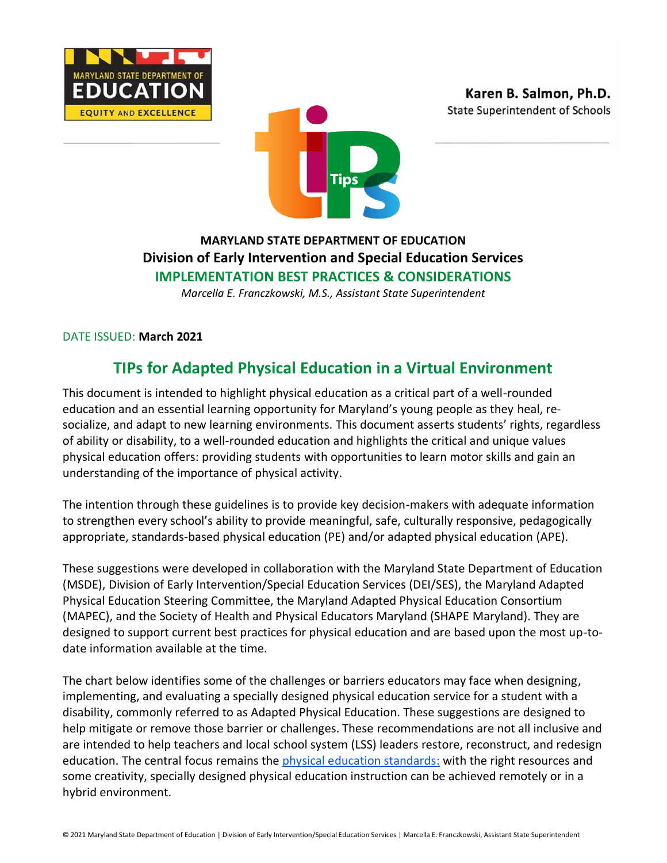





## **MARYLAND STATE DEPARTMENT OF EDUCATION Division of Early Intervention and Special Education Services IMPLEMENTATION BEST PRACTICES & CONSIDERATIONS**

*Marcella E. Franczkowski, M.S., Assistant State Superintendent*

DATE ISSUED: **March 2021**

# **TIPs for Adapted Physical Education in a Virtual Environment**

This document is intended to highlight physical education as a critical part of a well-rounded education and an essential learning opportunity for Maryland's young people as they heal, resocialize, and adapt to new learning environments. This document asserts students' rights, regardless of ability or disability, to a well-rounded education and highlights the critical and unique values physical education offers: providing students with opportunities to learn motor skills and gain an understanding of the importance of physical activity.

The intention through these guidelines is to provide key decision-makers with adequate information to strengthen every school's ability to provide meaningful, safe, culturally responsive, pedagogically appropriate, standards-based physical education (PE) and/or adapted physical education (APE).

These suggestions were developed in collaboration with the Maryland State Department of Education (MSDE), Division of Early Intervention/Special Education Services (DEI/SES), the Maryland Adapted Physical Education Steering Committee, the Maryland Adapted Physical Education Consortium (MAPEC), and the Society of Health and Physical Educators Maryland (SHAPE Maryland). They are designed to support current best practices for physical education and are based upon the most up-todate information available at the time.

The chart below identifies some of the challenges or barriers educators may face when designing, implementing, and evaluating a specially designed physical education service for a student with a disability, commonly referred to as Adapted Physical Education. These suggestions are designed to help mitigate or remove those barrier or challenges. These recommendations are not all inclusive and are intended to help teachers and local school system (LSS) leaders restore, reconstruct, and redesign education. The central focus remains the [physical education standards:](http://www.marylandpublicschools.org/about/Documents/DCAA/PE/Maryland_PE_Framework_2020.pdf) with the right resources and some creativity, specially designed physical education instruction can be achieved remotely or in a hybrid environment.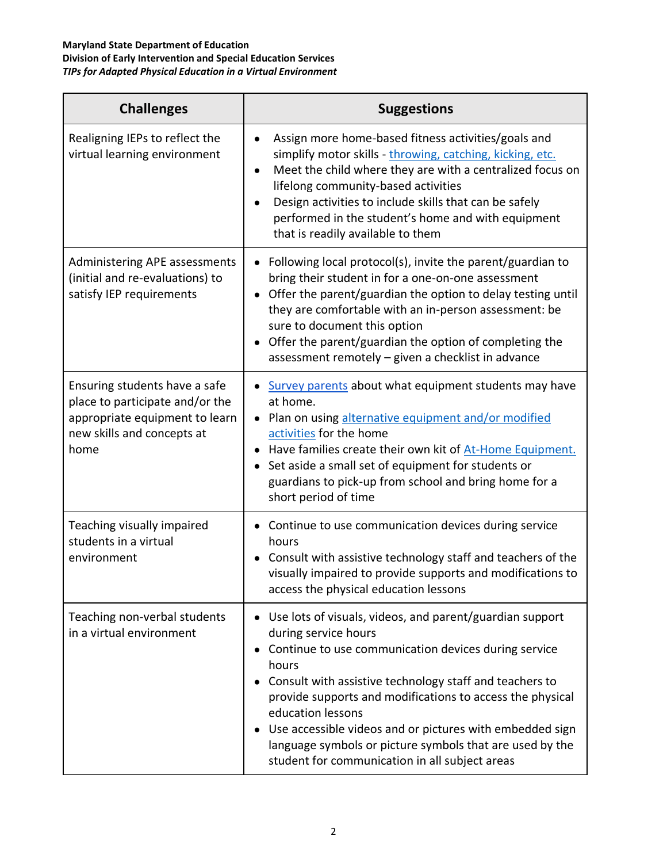| <b>Challenges</b>                                                                                                                        | <b>Suggestions</b>                                                                                                                                                                                                                                                                                                                                                                                                                                                       |
|------------------------------------------------------------------------------------------------------------------------------------------|--------------------------------------------------------------------------------------------------------------------------------------------------------------------------------------------------------------------------------------------------------------------------------------------------------------------------------------------------------------------------------------------------------------------------------------------------------------------------|
| Realigning IEPs to reflect the<br>virtual learning environment                                                                           | Assign more home-based fitness activities/goals and<br>simplify motor skills - throwing, catching, kicking, etc.<br>Meet the child where they are with a centralized focus on<br>$\bullet$<br>lifelong community-based activities<br>Design activities to include skills that can be safely<br>performed in the student's home and with equipment<br>that is readily available to them                                                                                   |
| Administering APE assessments<br>(initial and re-evaluations) to<br>satisfy IEP requirements                                             | Following local protocol(s), invite the parent/guardian to<br>bring their student in for a one-on-one assessment<br>Offer the parent/guardian the option to delay testing until<br>$\bullet$<br>they are comfortable with an in-person assessment: be<br>sure to document this option<br>Offer the parent/guardian the option of completing the<br>assessment remotely - given a checklist in advance                                                                    |
| Ensuring students have a safe<br>place to participate and/or the<br>appropriate equipment to learn<br>new skills and concepts at<br>home | Survey parents about what equipment students may have<br>at home.<br>Plan on using alternative equipment and/or modified<br>activities for the home<br>Have families create their own kit of At-Home Equipment.<br>Set aside a small set of equipment for students or<br>guardians to pick-up from school and bring home for a<br>short period of time                                                                                                                   |
| Teaching visually impaired<br>students in a virtual<br>environment                                                                       | Continue to use communication devices during service<br>hours<br>Consult with assistive technology staff and teachers of the<br>visually impaired to provide supports and modifications to<br>access the physical education lessons                                                                                                                                                                                                                                      |
| Teaching non-verbal students<br>in a virtual environment                                                                                 | Use lots of visuals, videos, and parent/guardian support<br>during service hours<br>Continue to use communication devices during service<br>hours<br>Consult with assistive technology staff and teachers to<br>provide supports and modifications to access the physical<br>education lessons<br>Use accessible videos and or pictures with embedded sign<br>language symbols or picture symbols that are used by the<br>student for communication in all subject areas |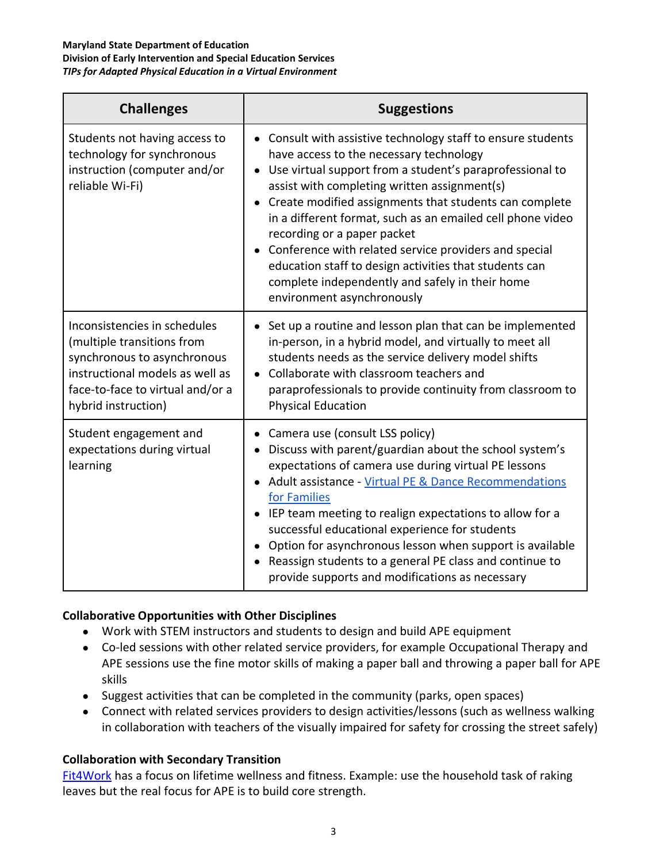| <b>Challenges</b>                                                                                                                                                                       | <b>Suggestions</b>                                                                                                                                                                                                                                                                                                                                                                                                                                                                                                                                                                                       |
|-----------------------------------------------------------------------------------------------------------------------------------------------------------------------------------------|----------------------------------------------------------------------------------------------------------------------------------------------------------------------------------------------------------------------------------------------------------------------------------------------------------------------------------------------------------------------------------------------------------------------------------------------------------------------------------------------------------------------------------------------------------------------------------------------------------|
| Students not having access to<br>technology for synchronous<br>instruction (computer and/or<br>reliable Wi-Fi)                                                                          | • Consult with assistive technology staff to ensure students<br>have access to the necessary technology<br>Use virtual support from a student's paraprofessional to<br>$\bullet$<br>assist with completing written assignment(s)<br>Create modified assignments that students can complete<br>$\bullet$<br>in a different format, such as an emailed cell phone video<br>recording or a paper packet<br>Conference with related service providers and special<br>education staff to design activities that students can<br>complete independently and safely in their home<br>environment asynchronously |
| Inconsistencies in schedules<br>(multiple transitions from<br>synchronous to asynchronous<br>instructional models as well as<br>face-to-face to virtual and/or a<br>hybrid instruction) | Set up a routine and lesson plan that can be implemented<br>in-person, in a hybrid model, and virtually to meet all<br>students needs as the service delivery model shifts<br>Collaborate with classroom teachers and<br>paraprofessionals to provide continuity from classroom to<br><b>Physical Education</b>                                                                                                                                                                                                                                                                                          |
| Student engagement and<br>expectations during virtual<br>learning                                                                                                                       | Camera use (consult LSS policy)<br>Discuss with parent/guardian about the school system's<br>$\bullet$<br>expectations of camera use during virtual PE lessons<br>Adult assistance - Virtual PE & Dance Recommendations<br>$\bullet$<br>for Families<br>IEP team meeting to realign expectations to allow for a<br>$\bullet$<br>successful educational experience for students<br>Option for asynchronous lesson when support is available<br>$\bullet$<br>Reassign students to a general PE class and continue to<br>provide supports and modifications as necessary                                    |

### **Collaborative Opportunities with Other Disciplines**

- Work with STEM instructors and students to design and build APE equipment
- Co-led sessions with other related service providers, for example Occupational Therapy and APE sessions use the fine motor skills of making a paper ball and throwing a paper ball for APE skills
- Suggest activities that can be completed in the community (parks, open spaces)
- Connect with related services providers to design activities/lessons (such as wellness walking in collaboration with teachers of the visually impaired for safety for crossing the street safely)

### **Collaboration with Secondary Transition**

[Fit4Work](https://fit4workpt.wixsite.com/fit4workpt) has a focus on lifetime wellness and fitness. Example: use the household task of raking leaves but the real focus for APE is to build core strength.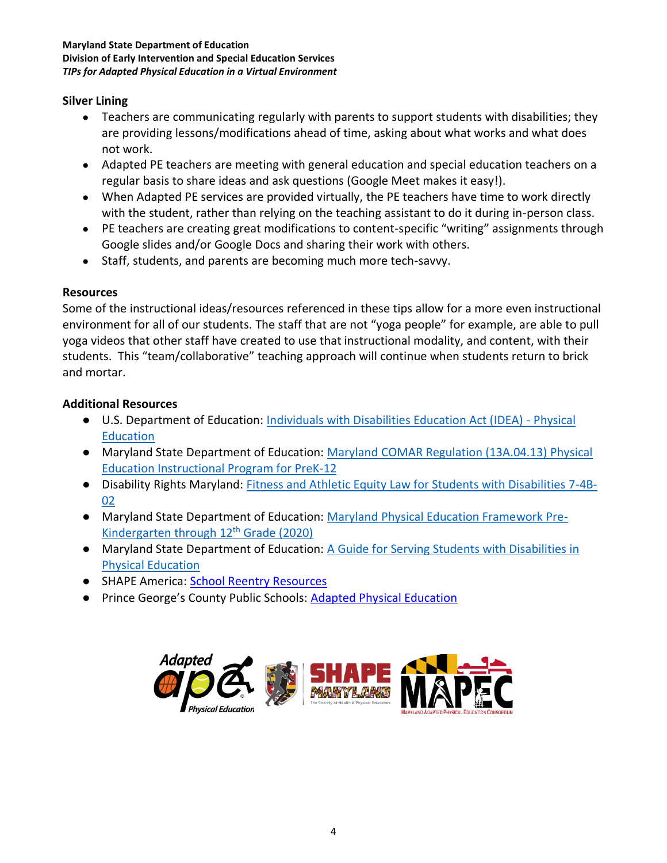### **Silver Lining**

- Teachers are communicating regularly with parents to support students with disabilities; they are providing lessons/modifications ahead of time, asking about what works and what does not work.
- Adapted PE teachers are meeting with general education and special education teachers on a regular basis to share ideas and ask questions (Google Meet makes it easy!).
- When Adapted PE services are provided virtually, the PE teachers have time to work directly with the student, rather than relying on the teaching assistant to do it during in-person class.
- PE teachers are creating great modifications to content-specific "writing" assignments through Google slides and/or Google Docs and sharing their work with others.
- Staff, students, and parents are becoming much more tech-savvy.

### **Resources**

Some of the instructional ideas/resources referenced in these tips allow for a more even instructional environment for all of our students. The staff that are not "yoga people" for example, are able to pull yoga videos that other staff have created to use that instructional modality, and content, with their students. This "team/collaborative" teaching approach will continue when students return to brick and mortar.

### **Additional Resources**

- [U.S. Department of Education: Individuals with Disabilities Education Act \(IDEA\)](https://sites.ed.gov/idea/regs/b/b/300.108) Physical **[Education](https://sites.ed.gov/idea/regs/b/b/300.108)**
- Maryland State Department of Education: [Maryland COMAR Regulation \(13A.04.13\) Physical](http://www.marylandpublicschools.org/about/Documents/DCAA/PE/PECOMAR13A.04.13.pdf)  [Education Instructional Program for PreK-12](http://www.marylandpublicschools.org/about/Documents/DCAA/PE/PECOMAR13A.04.13.pdf)
- Disability Rights Maryland: [Fitness and Athletic Equity Law for Students with Disabilities 7-4B-](https://www.disabilityrightsmd.org/wp-content/uploads/2010/09/Fitness-and-Athletic-Equity-Law-For-Students-with-Disabilities.pdf)[02](https://www.disabilityrightsmd.org/wp-content/uploads/2010/09/Fitness-and-Athletic-Equity-Law-For-Students-with-Disabilities.pdf)
- Maryland State Department of Education: [Maryland Physical Education Framework Pre-](http://www.marylandpublicschools.org/about/Documents/DCAA/PE/Maryland_PE_Framework_2020.pdf)[Kindergarten through 12](http://www.marylandpublicschools.org/about/Documents/DCAA/PE/Maryland_PE_Framework_2020.pdf)[th](http://www.marylandpublicschools.org/about/Documents/DCAA/PE/Maryland_PE_Framework_2020.pdf) [Grade \(2020\)](http://www.marylandpublicschools.org/about/Documents/DCAA/PE/Maryland_PE_Framework_2020.pdf)
- Maryland State Department of Education: A Guide for Serving Students with Disabilities in [Physical Education](http://www.marylandpublicschools.org/about/Documents/DCAA/PE/MDAPEStateGuide.pdf)
- SHAPE America: [School Reentry Resources](https://www.shapeamerica.org/advocacy/reentry/school-reentry-resources.aspx)
- Prince George's County Public Schools: **[Adapted Physical Education](https://www.wix.pgcpsadaptedpe.com/)**